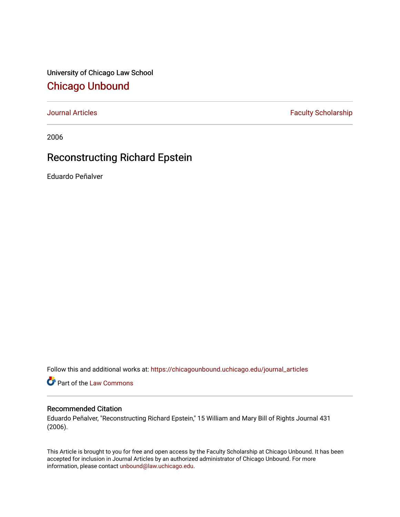University of Chicago Law School [Chicago Unbound](https://chicagounbound.uchicago.edu/)

[Journal Articles](https://chicagounbound.uchicago.edu/journal_articles) **Faculty Scholarship Faculty Scholarship** 

2006

# Reconstructing Richard Epstein

Eduardo Peñalver

Follow this and additional works at: [https://chicagounbound.uchicago.edu/journal\\_articles](https://chicagounbound.uchicago.edu/journal_articles?utm_source=chicagounbound.uchicago.edu%2Fjournal_articles%2F508&utm_medium=PDF&utm_campaign=PDFCoverPages) 

Part of the [Law Commons](http://network.bepress.com/hgg/discipline/578?utm_source=chicagounbound.uchicago.edu%2Fjournal_articles%2F508&utm_medium=PDF&utm_campaign=PDFCoverPages)

### Recommended Citation

Eduardo Peñalver, "Reconstructing Richard Epstein," 15 William and Mary Bill of Rights Journal 431 (2006).

This Article is brought to you for free and open access by the Faculty Scholarship at Chicago Unbound. It has been accepted for inclusion in Journal Articles by an authorized administrator of Chicago Unbound. For more information, please contact [unbound@law.uchicago.edu](mailto:unbound@law.uchicago.edu).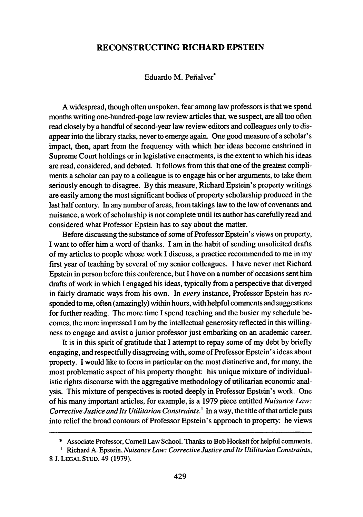## **RECONSTRUCTING RICHARD EPSTEIN**

#### Eduardo M. Pefialver\*

A widespread, though often unspoken, fear among law professors is that we spend months writing one-hundred-page law review articles that, we suspect, are all too often read closely by a handful of second-year law review editors and colleagues only to disappear into the library stacks, never to emerge again. One good measure of a scholar's impact, then, apart from the frequency with which her ideas become enshrined in Supreme Court holdings or in legislative enactments, is the extent to which his ideas are read, considered, and debated. It follows from this that one of the greatest compliments a scholar can pay to a colleague is to engage his or her arguments, to take them seriously enough to disagree. By this measure, Richard Epstein's property writings are easily among the most significant bodies of property scholarship produced in the last half century. In any number of areas, from takings law to the law of covenants and nuisance, a work of scholarship is not complete until its author has carefully read and considered what Professor Epstein has to say about the matter.

Before discussing the substance of some of Professor Epstein's views on property, I want to offer him a word of thanks. I am in the habit of sending unsolicited drafts of my articles to people whose work I discuss, a practice recommended to me in my first year of teaching by several of my senior colleagues. I have never met Richard Epstein in person before this conference, but I have on a number of occasions sent him drafts of work in which I engaged his ideas, typically from a perspective that diverged in fairly dramatic ways from his own. In every instance, Professor Epstein has responded to me, often (amazingly) within hours, with helpful comments and suggestions for further reading. The more time I spend teaching and the busier my schedule becomes, the more impressed I am by the intellectual generosity reflected in this willingness to engage and assist a junior professor just embarking on an academic career.

It is in this spirit of gratitude that I attempt to repay some of my debt by briefly engaging, and respectfully disagreeing with, some of Professor Epstein's ideas about property. I would like to focus in particular on the most distinctive and, for many, the most problematic aspect of his property thought: his unique mixture of individualistic rights discourse with the aggregative methodology of utilitarian economic analysis. This mixture of perspectives is rooted deeply in Professor Epstein's work. One of his many important articles, for example, is a 1979 piece entitled *Nuisance Law: Corrective Justice and Its Utilitarian Constraints.'* In a way, the title of that article puts into relief the broad contours of Professor Epstein's approach to property: he views

<sup>\*</sup> Associate Professor, Cornell Law School. Thanks to Bob Hockett for helpful comments.

Richard A. Epstein, *Nuisance Law: Corrective Justice and Its Utilitarian Constraints,* **8 J. LEGAL** STUD. 49 **(1979).**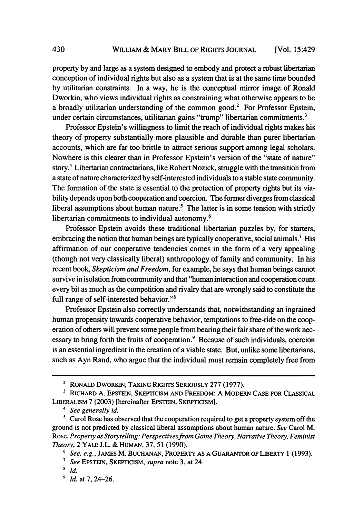property by and large as a system designed to embody and protect a robust libertarian conception of individual rights but also as a system that is at the same time bounded by utilitarian constraints. In a way, he is the conceptual mirror image of Ronald Dworkin, who views individual rights as constraining what otherwise appears to be a broadly utilitarian understanding of the common good.<sup>2</sup> For Professor Epstein, under certain circumstances, utilitarian gains "trump" libertarian commitments.<sup>3</sup>

Professor Epstein's willingness to limit the reach of individual rights makes his theory of property substantially more plausible and durable than purer libertarian accounts, which are far too brittle to attract serious support among legal scholars. Nowhere is this clearer than in Professor Epstein's version of the "state of nature" story.4 Libertarian contractarians, like Robert Nozick, struggle with the transition from a state of nature characterized by self-interested individuals to a stable state community. The formation of the state is essential to the protection of property rights but its viability depends upon both cooperation and coercion. The former diverges from classical liberal assumptions about human nature.<sup>5</sup> The latter is in some tension with strictly libertarian commitments to individual autonomy.<sup>6</sup>

Professor Epstein avoids these traditional libertarian puzzles by, for starters, embracing the notion that human beings are typically cooperative, social animals.<sup>7</sup> His affirmation of our cooperative tendencies comes in the form of a very appealing (though not very classically liberal) anthropology of family and community. In his recent book, *Skepticism and Freedom,* for example, he says that human beings cannot survive in isolation from community and that "human interaction and cooperation count every bit as much as the competition and rivalry that are wrongly said to constitute the full range of self-interested behavior."<sup>8</sup>

Professor Epstein also correctly understands that, notwithstanding an ingrained human propensity towards cooperative behavior, temptations to free-ride on the cooperation of others will prevent some people from bearing their fair share of the work necessary to bring forth the fruits of cooperation.<sup>9</sup> Because of such individuals, coercion is an essential ingredient in the creation of a viable state. But, unlike some libertarians, such as Ayn Rand, who argue that the individual must remain completely free from

<sup>&</sup>lt;sup>2</sup> RONALD DWORKIN, TAKING RIGHTS SERIOUSLY 277 (1977).

<sup>&</sup>lt;sup>3</sup> RICHARD A. EPSTEIN, SKEPTICISM AND FREEDOM: A MODERN CASE FOR CLASSICAL LIBERALISM 7 (2003) [hereinafter EPSTEIN, SKEPTICISM].

*See generally id.*

<sup>&</sup>lt;sup>5</sup> Carol Rose has observed that the cooperation required to get a property system off the ground is not predicted by classical liberal assumptions about human nature. *See* Carol M. Rose, *Property as Storytelling: Perspectives from Game Theory, Narrative Theory, Feminist Theory,* 2 YALE J.L. & HUMAN. 37, 51 (1990).

*<sup>6</sup> See, e.g.,* JAMES M. BUCHANAN, PROPERTY AS A GUARANTOR OF LIBERTY 1 (1993).

**<sup>7</sup>***See* EPSTEIN, SKEPrICISM, *supra* note 3, at 24.

**<sup>8</sup>** *id.*

<sup>&</sup>lt;sup>9</sup> *Id.* at 7, 24–26.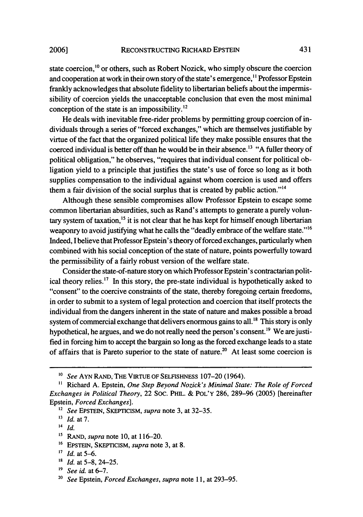conception of the state is an impossibility. $^{12}$ 

**2006]**

state coercion, <sup>10</sup> or others, such as Robert Nozick, who simply obscure the coercion and cooperation at work in their own story of the state's emergence,<sup>11</sup> Professor Epstein frankly acknowledges that absolute fidelity to libertarian beliefs about the impermissibility of coercion yields the unacceptable conclusion that even the most minimal

He deals with inevitable free-rider problems **by** permitting group coercion of individuals through a series of "forced exchanges," which are themselves justifiable **by** virtue of the fact that the organized political life they make possible ensures that the coerced individual is better off than he would be in their absence.<sup>13</sup> "A fuller theory of political obligation," he observes, "requires that individual consent for political obligation yield to a principle that justifies the state's use of force so long as it both supplies compensation to the individual against whom coercion is used and offers them a fair division of the social surplus that is created by public action.<sup>''14</sup>

Although these sensible compromises allow Professor Epstein to escape some common libertarian absurdities, such as Rand's attempts to generate a purely voluntary system of taxation, $15$  it is not clear that he has kept for himself enough libertarian weaponry to avoid justifying what he calls the "deadly embrace of the welfare state."<sup>16</sup> Indeed, I believe that Professor Epstein's theory of forced exchanges, particularly when combined with his social conception of the state of nature, points powerfully toward the permissibility of a fairly robust version of the welfare state.

Consider the state-of-nature story on which Professor Epstein's contractarian political theory relies.<sup>17</sup> In this story, the pre-state individual is hypothetically asked to "consent" to the coercive constraints of the state, thereby foregoing certain freedoms, in order to submit to a system of legal protection and coercion that itself protects the individual from the dangers inherent in the state of nature and makes possible a broad system of commercial exchange that delivers enormous gains to all.<sup>18</sup> This story is only hypothetical, he argues, and we do not really need the person's consent.<sup>19</sup> We are justified in forcing him to accept the bargain so long as the forced exchange leads to a state of affairs that is Pareto superior to the state of nature.<sup>20</sup> At least some coercion is

**<sup>16</sup>**EPSTEIN, SKEPTICISM, *supra* note 3, at 8.

*<sup>&#</sup>x27;0 See* AYN RAND, THE VIRTUE OF SELFISHNESS 107-20 (1964).

**<sup>&</sup>quot;** Richard A. Epstein, *One Step Beyond Nozick's Minimal State: The Role of Forced Exchanges in Political Theory,* 22 SOC. PHIL. & POL'Y 286, 289-96 (2005) [hereinafter Epstein, *Forced Exchanges].*

*<sup>12</sup>See* EPSTEIN, SKEPTICISM, *supra* note 3, at 32-35.

*<sup>&#</sup>x27;3 Id. at 7.*

*<sup>14</sup> Id.*

<sup>&</sup>lt;sup>15</sup> RAND, *supra* note 10, at 116-20.

**<sup>&</sup>quot;** *Id.* at 5-6.

*is Id.* at 5-8, 24-25.

*<sup>&#</sup>x27;9 See id.* at 6-7.

**<sup>20</sup>***See* Epstein, *Forced Exchanges, supra* note 11, at 293-95.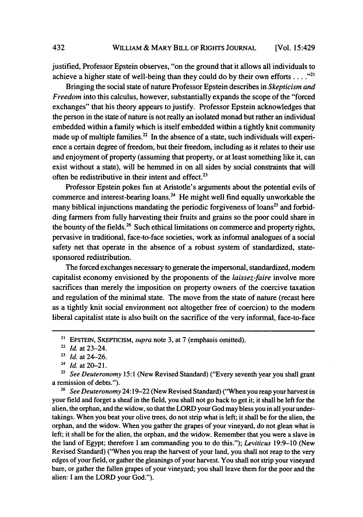justified, Professor Epstein observes, "on the ground that it allows all individuals to achieve a higher state of well-being than they could do by their own efforts  $\dots$ ."<sup>21</sup>

Bringing the social state of nature Professor Epstein describes in *Skepticism and Freedom* into this calculus, however, substantially expands the scope of the "forced" exchanges" that his theory appears to justify. Professor Epstein acknowledges that the person in the state of nature is not really an isolated monad but rather an individual embedded within a family which is itself embedded within a tightly knit community made up of multiple families. $^{22}$  In the absence of a state, such individuals will experience a certain degree of freedom, but their freedom, including as it relates to their use and enjoyment of property (assuming that property, or at least something like it, can exist without a state), will be hemmed in on all sides by social constraints that will often be redistributive in their intent and effect. $23$ 

Professor Epstein pokes fun at Aristotle's arguments about the potential evils of commerce and interest-bearing loans.<sup>24</sup> He might well find equally unworkable the many biblical injunctions mandating the periodic forgiveness of loans<sup>25</sup> and forbidding farmers from fully harvesting their fruits and grains so the poor could share in the bounty of the fields.<sup>26</sup> Such ethical limitations on commerce and property rights, pervasive in traditional, face-to-face societies, work as informal analogues of a social safety net that operate in the absence of a robust system of standardized, statesponsored redistribution.

The forced exchanges necessary to generate the impersonal, standardized, modem capitalist economy envisioned by the proponents of the *laissez-faire* involve more sacrifices than merely the imposition on property owners of the coercive taxation and regulation of the minimal state. The move from the state of nature (recast here as a tightly knit social environment not altogether free of coercion) to the modem liberal capitalist state is also built on the sacrifice of the very informal, face-to-face

**<sup>26</sup>***See Deuteronomy* 24:19-22 (New Revised Standard) ("When you reap your harvest in your field and forget a sheaf in the field, you shall not go back to get it; it shall be left for the alien, the orphan, and the widow, so that the LORD your God may bless you in all your undertakings. When you beat your olive trees, do not strip what is left; it shall be for the alien, the orphan, and the widow. When you gather the grapes of your vineyard, do not glean what is left; it shall be for the alien, the orphan, and the widow. Remember that you were a slave in the land of Egypt; therefore I am commanding you to do this."); *Leviticus* 19:9-10 (New Revised Standard) ("When you reap the harvest of your land, you shall not reap to the very edges of your field, or gather the gleanings of your harvest. You shall not strip your vineyard bare, or gather the fallen grapes of your vineyard; you shall leave them for the poor and the alien: I am the LORD your God.").

432

**<sup>21</sup>**EPsTEIN, SKEPTICISM, *supra* note 3, at 7 (emphasis omitted).

<sup>22</sup>*Id.* at 23-24.

*<sup>23</sup> Id.* at 24-26.

**<sup>24</sup>***Id.* at 20-21.

<sup>&</sup>lt;sup>25</sup> See Deuteronomy 15:1 (New Revised Standard) ("Every seventh year you shall grant a remission of debts.").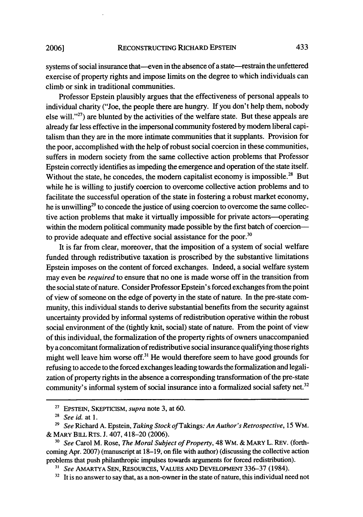#### RECONSTRUCTING RICHARD EPSTEIN

systems of social insurance that—even in the absence of a state—restrain the unfettered exercise of property rights and impose limits on the degree to which individuals can climb or sink in traditional communities.

Professor Epstein plausibly argues that the effectiveness of personal appeals to individual charity ("Joe, the people there are hungry. If you don't help them, nobody else will."27) are blunted **by** the activities of the welfare state. But these appeals are already far less effective in the impersonal community fostered **by** modem liberal capitalism than they are in the more intimate communities that it supplants. Provision for the poor, accomplished with the help of robust social coercion in these communities, suffers in modem society from the same collective action problems that Professor Epstein correctly identifies as impeding the emergence and operation of the state itself. Without the state, he concedes, the modern capitalist economy is impossible.<sup>28</sup> But while he is willing to justify coercion to overcome collective action problems and to facilitate the successful operation of the state in fostering a robust market economy, he is unwilling<sup>29</sup> to concede the justice of using coercion to overcome the same collective action problems that make it virtually impossible for private actors—operating within the modern political community made possible by the first batch of coercionto provide adequate and effective social assistance for the poor. $30$ 

It is far from clear, moreover, that the imposition of a system of social welfare funded through redistributive taxation is proscribed **by** the substantive limitations Epstein imposes on the content of forced exchanges. Indeed, a social welfare system may even be *required* to ensure that no one is made worse off in the transition from the social state of nature. Consider Professor Epstein's forced exchanges from the point of view of someone on the edge of poverty in the state of nature. In the pre-state community, this individual stands to derive substantial benefits from the security against uncertainty provided **by** informal systems of redistribution operative within the robust social environment of the (tightly knit, social) state of nature. From the point of view of this individual, the formalization of the property rights of owners unaccompanied **by** a concomitant formalization of redistributive social insurance qualifying those rights might well leave him worse off.<sup>31</sup> He would therefore seem to have good grounds for refusing to accede to the forced exchanges leading towards the formalization and legalization of property rights in the absence a corresponding transformation of the pre-state community's informal system of social insurance into a formalized social safety net.<sup>32</sup>

**2006]**

<sup>27</sup> EPSTEIN, SKEPTICISM, *supra* note 3, at **60.**

*<sup>28</sup>See id.* at **1.**

*<sup>29</sup> See* Richard A. Epstein, *Taking Stock of Takings: An Author's Retrospective,* **15** WM. **&** MARY BILL RTS. J. 407, 418-20 (2006).

<sup>30</sup> *See* Carol M. Rose, *The Moral Subject of Property,* 48 WM. & MARY L. REV. (forthcoming Apr. 2007) (manuscript at 18-19, on file with author) (discussing the collective action problems that push philanthropic impulses towards arguments for forced redistribution).

**<sup>3&</sup>quot;** *See* AMARTYA SEN, RESOURCES, VALUES AND DEVELOPMENT 336-37 (1984).

 $32$  It is no answer to say that, as a non-owner in the state of nature, this individual need not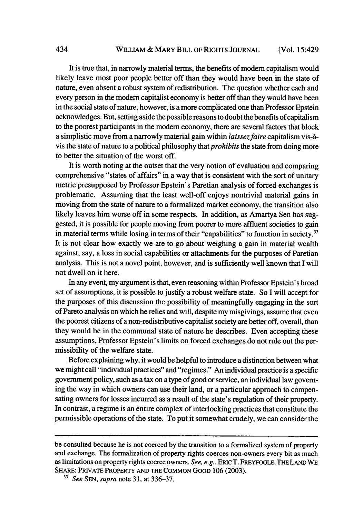It is true that, in narrowly material terms, the benefits of modem capitalism would likely leave most poor people better off than they would have been in the state of nature, even absent a robust system of redistribution. The question whether each and every person in the modem capitalist economy is better off than they would have been in the social state of nature, however, is a more complicated one than Professor Epstein acknowledges. But, setting aside the possible reasons to doubt the benefits of capitalism to the poorest participants in the modem economy, there are several factors that block a simplistic move from a narrowly material gain within *laissezfaire* capitalism vis-Avis the state of nature to a political philosophy *that prohibits* the state from doing more to better the situation of the worst off.

It is worth noting at the outset that the very notion of evaluation and comparing comprehensive "states of affairs" in a way that is consistent with the sort of unitary metric presupposed by Professor Epstein's Paretian analysis of forced exchanges is problematic. Assuming that the least well-off enjoys nontrivial material gains in moving from the state of nature to a formalized market economy, the transition also likely leaves him worse off in some respects. In addition, as Amartya Sen has suggested, it is possible for people moving from poorer to more affluent societies to gain in material terms while losing in terms of their "capabilities" to function in society.<sup>33</sup> It is not clear how exactly we are to go about weighing a gain in material wealth against, say, a loss in social capabilities or attachments for the purposes of Paretian analysis. This is not a novel point, however, and is sufficiently well known that I will not dwell on it here.

In any event, my argument is that, even reasoning within Professor Epstein's broad set of assumptions, it is possible to justify a robust welfare state. So I will accept for the purposes of this discussion the possibility of meaningfully engaging in the sort of Pareto analysis on which he relies and will, despite my misgivings, assume that even the poorest citizens of a non-redistributive capitalist society are better off, overall, than they would be in the communal state of nature he describes. Even accepting these assumptions, Professor Epstein's limits on forced exchanges do not rule out the permissibility of the welfare state.

Before explaining why, it would be helpful to introduce a distinction between what we might call "individual practices" and "regimes." An individual practice is a specific government policy, such as a tax on a type of good or service, an individual law governing the way in which owners can use their land, or a particular approach to compensating owners for losses incurred as a result of the state's regulation of their property. In contrast, a regime is an entire complex of interlocking practices that constitute the permissible operations of the state. To put it somewhat crudely, we can consider the

be consulted because he is not coerced by the transition to a formalized system of property and exchange. The formalization of property rights coerces non-owners every bit as much as limitations on property rights coerce owners. *See, e.g.,* ERIC T. FREYFOGLE, **THELAND** WE SHARE: PRIVATE PROPERTY **AND** THE **COMMON GOOD** 106 (2003).

**<sup>33</sup>***See* **SEN,** *supra* note 31, at 336-37.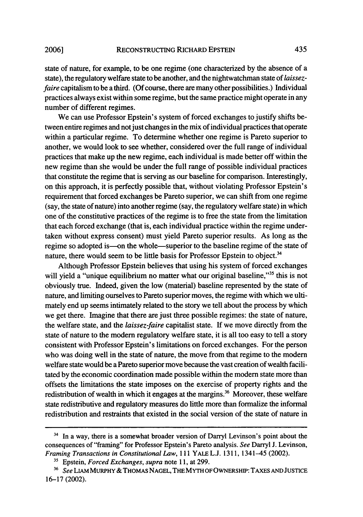state of nature, for example, to be one regime (one characterized by the absence of a state), the regulatory welfare state to be another, and the nightwatchman state of *laissez*faire capitalism to be a third. (Of course, there are many other possibilities.) Individual practices always exist within some regime, but the same practice might operate in any number of different regimes.

We can use Professor Epstein's system of forced exchanges to justify shifts between entire regimes and notjust changes in the mix of individual practices that operate within a particular regime. To determine whether one regime is Pareto superior to another, we would look to see whether, considered over the full range of individual practices that make up the new regime, each individual is made better off within the new regime than she would be under the full range of possible individual practices that constitute the regime that is serving as our baseline for comparison. Interestingly, on this approach, it is perfectly possible that, without violating Professor Epstein's requirement that forced exchanges be Pareto superior, we can shift from one regime (say, the state of nature) into another regime (say, the regulatory welfare state) in which one of the constitutive practices of the regime is to free the state from the limitation that each forced exchange (that is, each individual practice within the regime undertaken without express consent) must yield Pareto superior results. As long as the regime so adopted is—on the whole—superior to the baseline regime of the state of nature, there would seem to be little basis for Professor Epstein to object.<sup>34</sup>

Although Professor Epstein believes that using his system of forced exchanges will yield a "unique equilibrium no matter what our original baseline,"<sup>35</sup> this is not obviously true. Indeed, given the low (material) baseline represented by the state of nature, and limiting ourselves to Pareto superior moves, the regime with which we ultimately end up seems intimately related to the story we tell about the process **by** which we get there. Imagine that there are just three possible regimes: the state of nature, the welfare state, and the *laissez-faire* capitalist state. **If** we move directly from the state of nature to the modem regulatory welfare state, it is all too easy to tell a story consistent with Professor Epstein's limitations on forced exchanges. For the person who was doing well in the state of nature, the move from that regime to the modem welfare state would be a Pareto superior move because the vast creation of wealth facilitated **by** the economic coordination made possible within the modem state more than offsets the limitations the state imposes on the exercise of property rights and the redistribution of wealth in which it engages at the margins.<sup>36</sup> Moreover, these welfare state redistributive and regulatory measures do little more than formalize the informal redistribution and restraints that existed in the social version of the state of nature in

<sup>&</sup>lt;sup>34</sup> In a way, there is a somewhat broader version of Darryl Levinson's point about the consequences of "framing" for Professor Epstein's Pareto analysis. *See* Darryl J. Levinson, *Framing Transactions in Constitutional Law,* **111** YALE L.J. **1311,** 1341-45 (2002).

**<sup>&</sup>quot;** Epstein, *Forced Exchanges, supra* note **11,** at 299.

**<sup>36</sup>***See* LIAM MURPHY & THOMAS **NAGEL,** THE MYTH **OF** OWNERSHIP: TAxES **AND JUSTICE 16-17** (2002).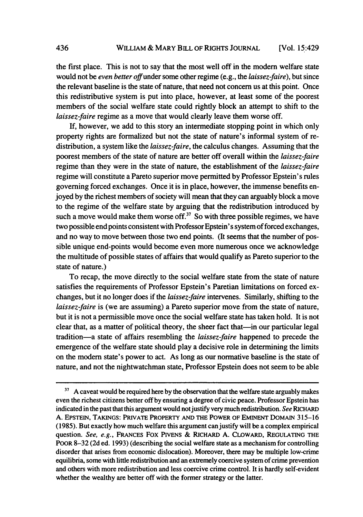the first place. This is not to say that the most well off in the modem welfare state would not be *even better* offunder some other regime (e.g., the *laissez-faire),* but since the relevant baseline is the state of nature, that need not concern us at this point. Once this redistributive system is put into place, however, at least some of the poorest members of the social welfare state could rightly block an attempt to shift to the *laissez-faire* regime as a move that would clearly leave them worse off.

If, however, we add to this story an intermediate stopping point in which only property rights are formalized but not the state of nature's informal system of redistribution, a system like the *laissez-faire,* the calculus changes. Assuming that the poorest members of the state of nature are better off overall within the *laissez-faire* regime than they were in the state of nature, the establishment of the *laissez-faire* regime will constitute a Pareto superior move permitted by Professor Epstein's rules governing forced exchanges. Once it is in place, however, the immense benefits enjoyed by the richest members of society will mean that they can arguably block a move to the regime of the welfare state by arguing that the redistribution introduced by such a move would make them worse off.<sup>37</sup> So with three possible regimes, we have two possible end points consistent with Professor Epstein's system of forced exchanges, and no way to move between those two end points. (It seems that the number of possible unique end-points would become even more numerous once we acknowledge the multitude of possible states of affairs that would qualify as Pareto superior to the state of nature.)

To recap, the move directly to the social welfare state from the state of nature satisfies the requirements of Professor Epstein's Paretian limitations on forced exchanges, but it no longer does if the *laissez-faire* intervenes. Similarly, shifting to the *laissez-faire* is (we are assuming) a Pareto superior move from the state of nature, but it is not a permissible move once the social welfare state has taken hold. It is not clear that, as a matter of political theory, the sheer fact that-in our particular legal tradition-a state of affairs resembling the *laissez-faire* happened to precede the emergence of the welfare state should play a decisive role in determining the limits on the modern state's power to act. As long as our normative baseline is the state of nature, and not the nightwatchman state, Professor Epstein does not seem to be able

<sup>&</sup>lt;sup>37</sup> A caveat would be required here by the observation that the welfare state arguably makes even the richest citizens better off by ensuring a degree of civic peace. Professor Epstein has indicated in the past that this argument would notjustify very much redistribution. *See* RICHARD A. EPSTEIN, **TAKINGS:** PRIVATE PROPERTY **AND** THE POWER OF EMINENT DOMAiN 315-16 (1985). But exactly how much welfare this argument can justify will be a complex empirical question. *See, e.g.,* FRANCES Fox **PIVENS** & RICHARD A. CLOWARD, **REGULATING** THE POOR 8-32 (2d ed. 1993) (describing the social welfare state as a mechanism for controlling disorder that arises from economic dislocation). Moreover, there may be multiple low-crime equilibria, some with little redistribution and an extremely coercive system of crime prevention and others with more redistribution and less coercive crime control. It is hardly self-evident whether the wealthy are better off with the former strategy or the latter.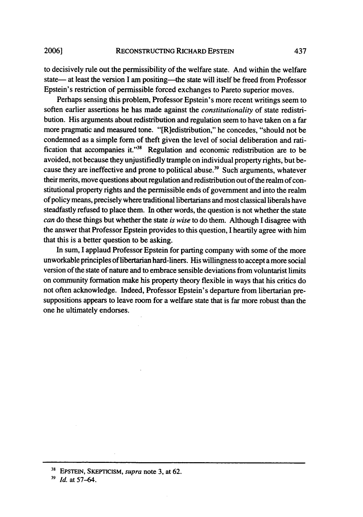#### RECONSTRUCTING RICHARD EPSTEIN **2006]**

to decisively rule out the permissibility of the welfare state. And within the welfare state— at least the version I am positing—the state will itself be freed from Professor Epstein's restriction of permissible forced exchanges to Pareto superior moves.

Perhaps sensing this problem, Professor Epstein's more recent writings seem to soften earlier assertions he has made against the *constitutionality* of state redistribution. His arguments about redistribution and regulation seem to have taken on a far more pragmatic and measured tone. "[R]edistribution," he concedes, "should not be condemned as a simple form of theft given the level of social deliberation and ratification that accompanies it."<sup>38</sup> Regulation and economic redistribution are to be avoided, not because they unjustifiedly trample on individual property rights, but because they are ineffective and prone to political abuse.<sup>39</sup> Such arguments, whatever their merits, move questions about regulation and redistribution out of the realm of constitutional property rights and the permissible ends of government and into the realm of policy means, precisely where traditional libertarians and most classical liberals have steadfastly refused to place them. In other words, the question is not whether the state *can* do these things but whether the state *is wise* to do them. Although I disagree with the answer that Professor Epstein provides to this question, I heartily agree with him that this is a better question to be asking.

In sum, I applaud Professor Epstein for parting company with some of the more unworkable principles of libertarian hard-liners. His willingness to accept a more social version of the state of nature and to embrace sensible deviations from voluntarist limits on community formation make his property theory flexible in ways that his critics do not often acknowledge. Indeed, Professor Epstein's departure from libertarian presuppositions appears to leave room for a welfare state that is far more robust than the one he ultimately endorses.

**<sup>38</sup>**EPSTEIN, SKEPTICISM, *supra* note 3, at 62.

**<sup>31</sup>** *Id.* at 57-64.